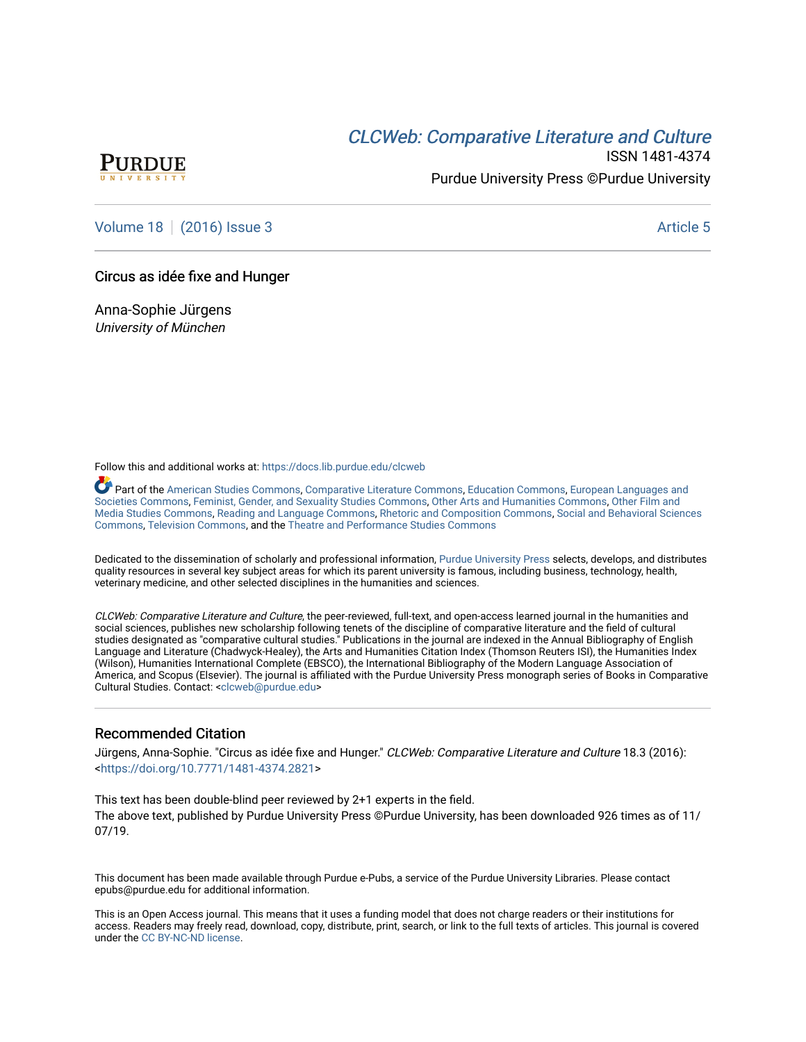# CLCW[eb: Comparative Liter](https://docs.lib.purdue.edu/clcweb)ature and Culture



ISSN 1481-4374 Purdue University Press ©Purdue University

[Volume 18](https://docs.lib.purdue.edu/clcweb/vol18) | [\(2016\) Issue 3](https://docs.lib.purdue.edu/clcweb/vol18/iss3) Article 5

### Circus as idée fixe and Hunger

Anna-Sophie Jürgens University of München

Follow this and additional works at: [https://docs.lib.purdue.edu/clcweb](https://docs.lib.purdue.edu/clcweb?utm_source=docs.lib.purdue.edu%2Fclcweb%2Fvol18%2Fiss3%2F5&utm_medium=PDF&utm_campaign=PDFCoverPages)

Part of the [American Studies Commons](http://network.bepress.com/hgg/discipline/439?utm_source=docs.lib.purdue.edu%2Fclcweb%2Fvol18%2Fiss3%2F5&utm_medium=PDF&utm_campaign=PDFCoverPages), [Comparative Literature Commons,](http://network.bepress.com/hgg/discipline/454?utm_source=docs.lib.purdue.edu%2Fclcweb%2Fvol18%2Fiss3%2F5&utm_medium=PDF&utm_campaign=PDFCoverPages) [Education Commons,](http://network.bepress.com/hgg/discipline/784?utm_source=docs.lib.purdue.edu%2Fclcweb%2Fvol18%2Fiss3%2F5&utm_medium=PDF&utm_campaign=PDFCoverPages) [European Languages and](http://network.bepress.com/hgg/discipline/482?utm_source=docs.lib.purdue.edu%2Fclcweb%2Fvol18%2Fiss3%2F5&utm_medium=PDF&utm_campaign=PDFCoverPages) [Societies Commons](http://network.bepress.com/hgg/discipline/482?utm_source=docs.lib.purdue.edu%2Fclcweb%2Fvol18%2Fiss3%2F5&utm_medium=PDF&utm_campaign=PDFCoverPages), [Feminist, Gender, and Sexuality Studies Commons,](http://network.bepress.com/hgg/discipline/559?utm_source=docs.lib.purdue.edu%2Fclcweb%2Fvol18%2Fiss3%2F5&utm_medium=PDF&utm_campaign=PDFCoverPages) [Other Arts and Humanities Commons](http://network.bepress.com/hgg/discipline/577?utm_source=docs.lib.purdue.edu%2Fclcweb%2Fvol18%2Fiss3%2F5&utm_medium=PDF&utm_campaign=PDFCoverPages), [Other Film and](http://network.bepress.com/hgg/discipline/565?utm_source=docs.lib.purdue.edu%2Fclcweb%2Fvol18%2Fiss3%2F5&utm_medium=PDF&utm_campaign=PDFCoverPages)  [Media Studies Commons](http://network.bepress.com/hgg/discipline/565?utm_source=docs.lib.purdue.edu%2Fclcweb%2Fvol18%2Fiss3%2F5&utm_medium=PDF&utm_campaign=PDFCoverPages), [Reading and Language Commons](http://network.bepress.com/hgg/discipline/1037?utm_source=docs.lib.purdue.edu%2Fclcweb%2Fvol18%2Fiss3%2F5&utm_medium=PDF&utm_campaign=PDFCoverPages), [Rhetoric and Composition Commons,](http://network.bepress.com/hgg/discipline/573?utm_source=docs.lib.purdue.edu%2Fclcweb%2Fvol18%2Fiss3%2F5&utm_medium=PDF&utm_campaign=PDFCoverPages) [Social and Behavioral Sciences](http://network.bepress.com/hgg/discipline/316?utm_source=docs.lib.purdue.edu%2Fclcweb%2Fvol18%2Fiss3%2F5&utm_medium=PDF&utm_campaign=PDFCoverPages) [Commons,](http://network.bepress.com/hgg/discipline/316?utm_source=docs.lib.purdue.edu%2Fclcweb%2Fvol18%2Fiss3%2F5&utm_medium=PDF&utm_campaign=PDFCoverPages) [Television Commons,](http://network.bepress.com/hgg/discipline/1143?utm_source=docs.lib.purdue.edu%2Fclcweb%2Fvol18%2Fiss3%2F5&utm_medium=PDF&utm_campaign=PDFCoverPages) and the [Theatre and Performance Studies Commons](http://network.bepress.com/hgg/discipline/552?utm_source=docs.lib.purdue.edu%2Fclcweb%2Fvol18%2Fiss3%2F5&utm_medium=PDF&utm_campaign=PDFCoverPages)

Dedicated to the dissemination of scholarly and professional information, [Purdue University Press](http://www.thepress.purdue.edu/) selects, develops, and distributes quality resources in several key subject areas for which its parent university is famous, including business, technology, health, veterinary medicine, and other selected disciplines in the humanities and sciences.

CLCWeb: Comparative Literature and Culture, the peer-reviewed, full-text, and open-access learned journal in the humanities and social sciences, publishes new scholarship following tenets of the discipline of comparative literature and the field of cultural studies designated as "comparative cultural studies." Publications in the journal are indexed in the Annual Bibliography of English Language and Literature (Chadwyck-Healey), the Arts and Humanities Citation Index (Thomson Reuters ISI), the Humanities Index (Wilson), Humanities International Complete (EBSCO), the International Bibliography of the Modern Language Association of America, and Scopus (Elsevier). The journal is affiliated with the Purdue University Press monograph series of Books in Comparative Cultural Studies. Contact: [<clcweb@purdue.edu](mailto:clcweb@purdue.edu)>

## Recommended Citation

Jürgens, Anna-Sophie. "Circus as idée fixe and Hunger." CLCWeb: Comparative Literature and Culture 18.3 (2016): <<https://doi.org/10.7771/1481-4374.2821>>

This text has been double-blind peer reviewed by 2+1 experts in the field. The above text, published by Purdue University Press ©Purdue University, has been downloaded 926 times as of 11/ 07/19.

This document has been made available through Purdue e-Pubs, a service of the Purdue University Libraries. Please contact epubs@purdue.edu for additional information.

This is an Open Access journal. This means that it uses a funding model that does not charge readers or their institutions for access. Readers may freely read, download, copy, distribute, print, search, or link to the full texts of articles. This journal is covered under the [CC BY-NC-ND license.](https://creativecommons.org/licenses/by-nc-nd/4.0/)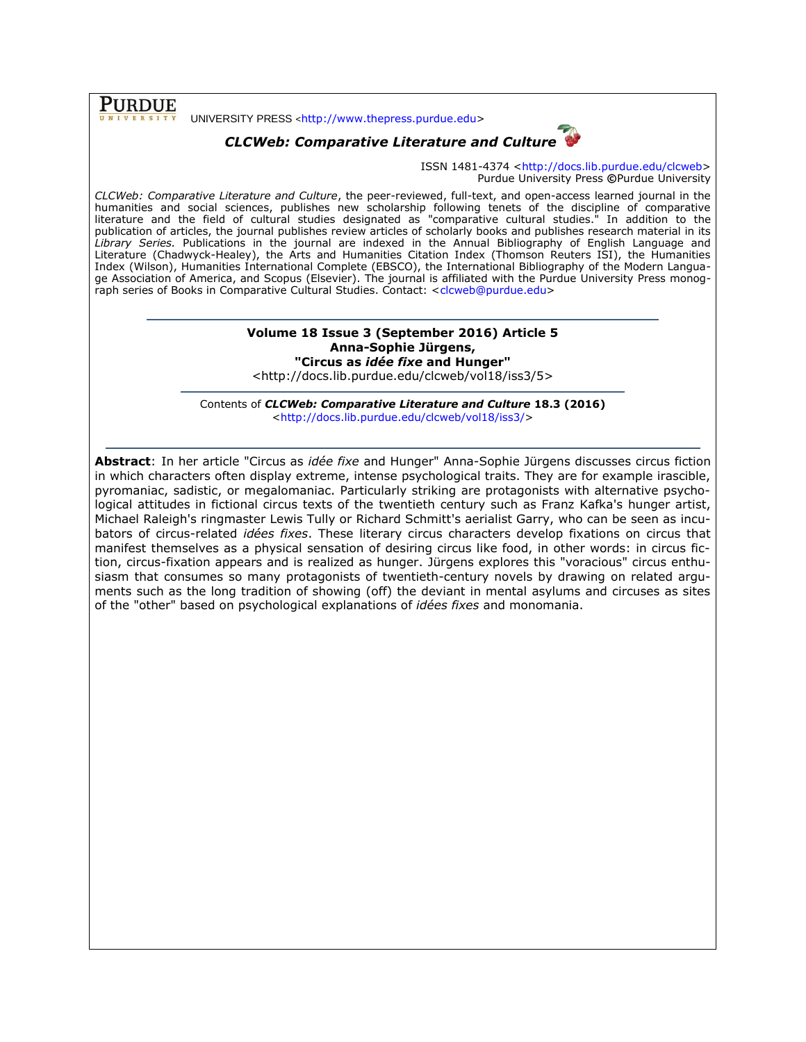**PURDUE** 

UNIVERSITY PRESS <[http://www.thepress.purdue.edu>](http://www.thepress.purdue.edu/)

# *CLCWeb: Comparative Literature and Culture*



ISSN 1481-4374 [<http://docs.lib.purdue.edu/clcweb>](http://docs.lib.purdue.edu/clcweb) Purdue University Press **©**Purdue University

*CLCWeb: Comparative Literature and Culture*, the peer-reviewed, full-text, and open-access learned journal in the humanities and social sciences, publishes new scholarship following tenets of the discipline of comparative literature and the field of cultural studies designated as "comparative cultural studies." In addition to the publication of articles, the journal publishes review articles of scholarly books and publishes research material in its *Library Series.* Publications in the journal are indexed in the Annual Bibliography of English Language and Literature (Chadwyck-Healey), the Arts and Humanities Citation Index (Thomson Reuters ISI), the Humanities Index (Wilson), Humanities International Complete (EBSCO), the International Bibliography of the Modern Language Association of America, and Scopus (Elsevier). The journal is affiliated with the Purdue University Press monograph series of Books in Comparative Cultural Studies. Contact: [<clcweb@purdue.edu>](mailto:clcweb@purdue.edu)

## **Volume 18 Issue 3 (September 2016) Article 5 Anna-Sophie Jürgens, "Circus as** *idée fixe* **and Hunger"**

<http://docs.lib.purdue.edu/clcweb/vol18/iss3/5>

Contents of *CLCWeb: Comparative Literature and Culture* **18.3 (2016)** [<http://docs.lib.purdue.edu/clcweb/vol18/iss3/>](http://docs.lib.purdue.edu/clcweb/vol18/iss3/)

**Abstract**: In her article "Circus as *idée fixe* and Hunger" Anna-Sophie Jürgens discusses circus fiction in which characters often display extreme, intense psychological traits. They are for example irascible, pyromaniac, sadistic, or megalomaniac. Particularly striking are protagonists with alternative psychological attitudes in fictional circus texts of the twentieth century such as Franz Kafka's hunger artist, Michael Raleigh's ringmaster Lewis Tully or Richard Schmitt's aerialist Garry, who can be seen as incubators of circus-related *idées fixes*. These literary circus characters develop fixations on circus that manifest themselves as a physical sensation of desiring circus like food, in other words: in circus fiction, circus-fixation appears and is realized as hunger. Jürgens explores this "voracious" circus enthusiasm that consumes so many protagonists of twentieth-century novels by drawing on related arguments such as the long tradition of showing (off) the deviant in mental asylums and circuses as sites of the "other" based on psychological explanations of *idées fixes* and monomania.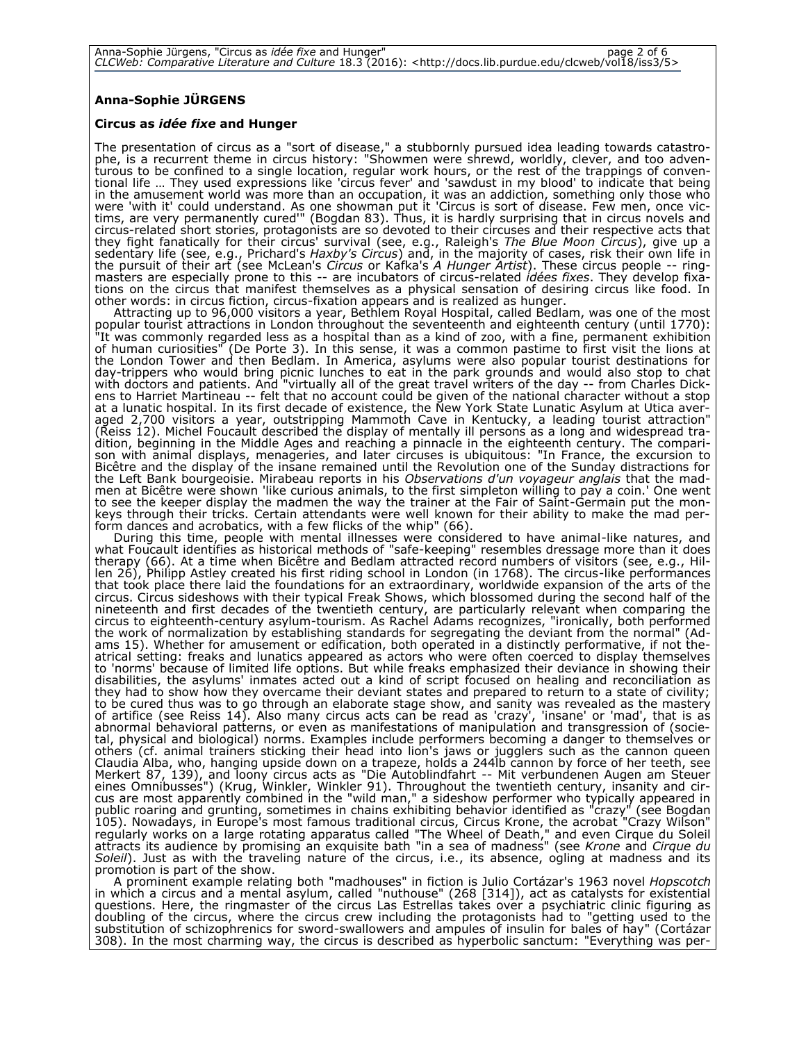#### **Anna-Sophie JÜRGENS**

#### **Circus as** *idée fixe* **and Hunger**

The presentation of circus as a "sort of disease," a stubbornly pursued idea leading towards catastrophe, is a recurrent theme in circus history: "Showmen were shrewd, worldly, clever, and too adventurous to be confined to a single location, regular work hours, or the rest of the trappings of conventional life … They used expressions like 'circus fever' and 'sawdust in my blood' to indicate that being in the amusement world was more than an occupation, it was an addiction, something only those who were 'with it' could understand. As one showman put it 'Circus is sort of disease. Few men, once victims, are very permanently cured'" (Bogdan 83). Thus, it is hardly surprising that in circus novels and circus-related short stories, protagonists are so devoted to their circuses and their respective acts that they fight fanatically for their circus' survival (see, e.g., Raleigh's *The Blue Moon Circus*), give up a sedentary life (see, e.g., Prichard's *Haxby's Circus*) and, in the majority of cases, risk their own life in the pursuit of their art (see McLean's *Circus* or Kafka's *A Hunger Artist*). These circus people -- ringmasters are especially prone to this -- are incubators of circus-related *idées fixes*. They develop fixations on the circus that manifest themselves as a physical sensation of desiring circus like food. In other words: in circus fiction, circus-fixation appears and is realized as hunger.

Attracting up to 96,000 visitors a year, Bethlem Royal Hospital, called Bedlam, was one of the most popular tourist attractions in London throughout the seventeenth and eighteenth century (until 1770): "It was commonly regarded less as a hospital than as a kind of zoo, with a fine, permanent exhibition of human curiosities" (De Porte 3). In this sense, it was a common pastime to first visit the lions at the London Tower and then Bedlam. In America, asylums were also popular tourist destinations for day-trippers who would bring picnic lunches to eat in the park grounds and would also stop to chat with doctors and patients. And "virtually all of the great travel writers of the day -- from Charles Dickens to Harriet Martineau -- felt that no account could be given of the national character without a stop at a lunatic hospital. In its first decade of existence, the New York State Lunatic Asylum at Utica averaged 2,700 visitors a year, outstripping Mammoth Cave in Kentucky, a leading tourist attraction" (Reiss 12). Michel Foucault described the display of mentally ill persons as a long and widespread tradition, beginning in the Middle Ages and reaching a pinnacle in the eighteenth century. The comparison with animal displays, menageries, and later circuses is ubiquitous: "In France, the excursion to Bicêtre and the display of the insane remained until the Revolution one of the Sunday distractions for the Left Bank bourgeoisie. Mirabeau reports in his *Observations d'un voyageur anglais* that the madmen at Bicêtre were shown 'like curious animals, to the first simpleton willing to pay a coin.' One went to see the keeper display the madmen the way the trainer at the Fair of Saint-Germain put the monkeys through their tricks. Certain attendants were well known for their ability to make the mad perform dances and acrobatics, with a few flicks of the whip" (66).

During this time, people with mental illnesses were considered to have animal-like natures, and what Foucault identifies as historical methods of "safe-keeping" resembles dressage more than it does therapy (66). At a time when Bicêtre and Bedlam attracted record numbers of visitors (see, e.g., Hillen 26), Philipp Astley created his first riding school in London (in 1768). The circus-like performances that took place there laid the foundations for an extraordinary, worldwide expansion of the arts of the circus. Circus sideshows with their typical Freak Shows, which blossomed during the second half of the nineteenth and first decades of the twentieth century, are particularly relevant when comparing the circus to eighteenth-century asylum-tourism. As Rachel Adams recognizes, "ironically, both performed the work of normalization by establishing standards for segregating the deviant from the normal" (Adams 15). Whether for amusement or edification, both operated in a distinctly performative, if not theatrical setting: freaks and lunatics appeared as actors who were often coerced to display themselves to 'norms' because of limited life options. But while freaks emphasized their deviance in showing their disabilities, the asylums' inmates acted out a kind of script focused on healing and reconciliation as they had to show how they overcame their deviant states and prepared to return to a state of civility; to be cured thus was to go through an elaborate stage show, and sanity was revealed as the mastery of artifice (see Reiss 14). Also many circus acts can be read as 'crazy', 'insane' or 'mad', that is as abnormal behavioral patterns, or even as manifestations of manipulation and transgression of (societal, physical and biological) norms. Examples include performers becoming a danger to themselves or others (cf. animal trainers sticking their head into lion's jaws or jugglers such as the cannon queen Claudia Alba, who, hanging upside down on a trapeze, holds a 244lb cannon by force of her teeth, see Merkert 87, 139), and loony circus acts as "Die Autoblindfahrt -- Mit verbundenen Augen am Steuer eines Omnibusses") (Krug, Winkler, Winkler 91). Throughout the twentieth century, insanity and circus are most apparently combined in the "wild man," a sideshow performer who typically appeared in public roaring and grunting, sometimes in chains exhibiting behavior identified as "crazy" (see Bogdan 105). Nowadays, in Europe's most famous traditional circus, Circus Krone, the acrobat "Crazy Wilson" regularly works on a large rotating apparatus called "The Wheel of Death," and even Cirque du Soleil attracts its audience by promising an exquisite bath "in a sea of madness" (see *Krone* and *Cirque du Soleil*). Just as with the traveling nature of the circus, i.e., its absence, ogling at madness and its promotion is part of the show.

A prominent example relating both "madhouses" in fiction is Julio Cortázar's 1963 novel *Hopscotch*  in which a circus and a mental asylum, called "nuthouse" (268 [314]), act as catalysts for existential questions. Here, the ringmaster of the circus Las Estrellas takes over a psychiatric clinic figuring as doubling of the circus, where the circus crew including the protagonists had to "getting used to the substitution of schizophrenics for sword-swallowers and ampules of insulin for bales of hay" (Cortázar 308). In the most charming way, the circus is described as hyperbolic sanctum: "Everything was per-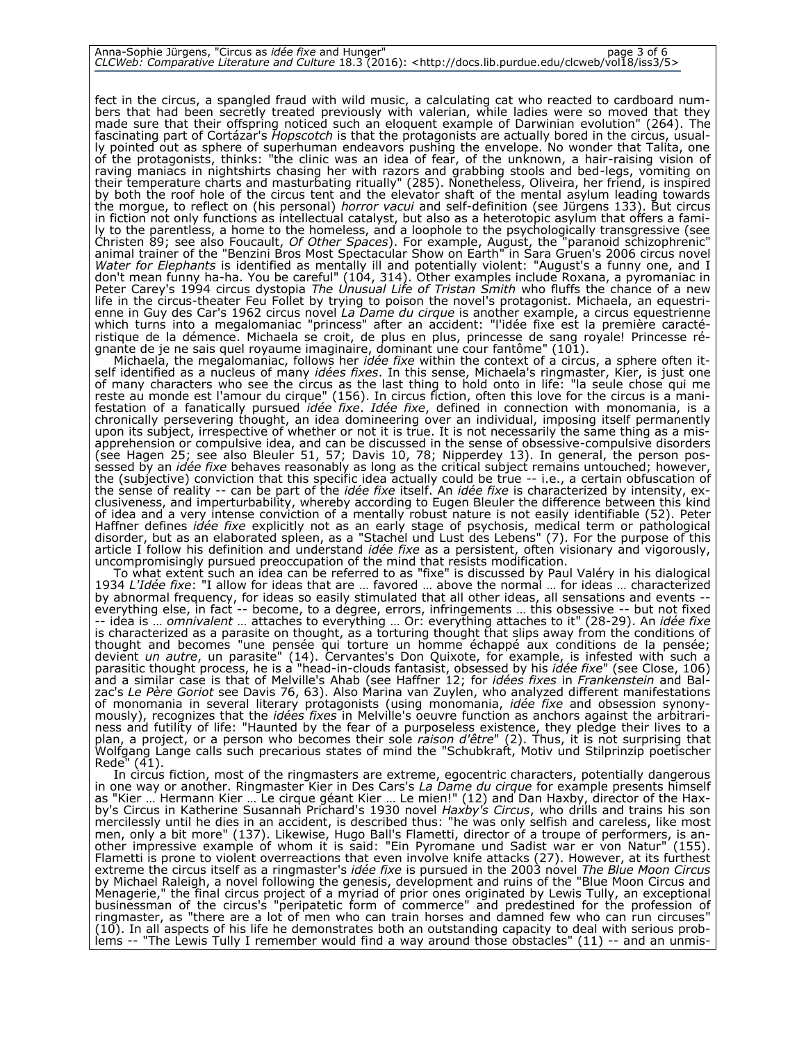| Anna-Sophie Jürgens, "Circus as <i>idée fixe</i> and Hunger" |                                                                                                                                | page 3 of 6 |
|--------------------------------------------------------------|--------------------------------------------------------------------------------------------------------------------------------|-------------|
|                                                              | CLCWeb: Comparative Literature and Culture 18.3 (2016): <http: 5="" clcweb="" docs.lib.purdue.edu="" iss3="" vol18=""></http:> |             |

fect in the circus, a spangled fraud with wild music, a calculating cat who reacted to cardboard numbers that had been secretly treated previously with valerian, while ladies were so moved that they made sure that their offspring noticed such an eloquent example of Darwinian evolution" (264). The fascinating part of Cortázar's *Hopscotch* is that the protagonists are actually bored in the circus, usually pointed out as sphere of superhuman endeavors pushing the envelope. No wonder that Talita, one of the protagonists, thinks: "the clinic was an idea of fear, of the unknown, a hair-raising vision of raving maniacs in nightshirts chasing her with razors and grabbing stools and bed-legs, vomiting on their temperature charts and masturbating ritually" (285). Nonetheless, Oliveira, her friend, is inspired by both the roof hole of the circus tent and the elevator shaft of the mental asylum leading towards the morgue, to reflect on (his personal) *horror vacui* and self-definition (see Jürgens 133). But circus in fiction not only functions as intellectual catalyst, but also as a heterotopic asylum that offers a family to the parentless, a home to the homeless, and a loophole to the psychologically transgressive (see Christen 89; see also Foucault, *Of Other Spaces*). For example, August, the "paranoid schizophrenic" animal trainer of the "Benzini Bros Most Spectacular Show on Earth" in Sara Gruen's 2006 circus novel *Water for Elephants* is identified as mentally ill and potentially violent: "August's a funny one, and I don't mean funny ha-ha. You be careful" (104, 314). Other examples include Roxana, a pyromaniac in Peter Carey's 1994 circus dystopia *The Unusual Life of Tristan Smith* who fluffs the chance of a new life in the circus-theater Feu Follet by trying to poison the novel's protagonist. Michaela, an equestrienne in Guy des Car's 1962 circus novel *La Dame du cirque* is another example, a circus equestrienne which turns into a megalomaniac "princess" after an accident: "l'idée fixe est la première caractéristique de la démence. Michaela se croit, de plus en plus, princesse de sang royale! Princesse régnante de je ne sais quel royaume imaginaire, dominant une cour fantôme" (101).

Michaela, the megalomaniac, follows her *idée fixe* within the context of a circus, a sphere often itself identified as a nucleus of many *idées fixes*. In this sense, Michaela's ringmaster, Kier, is just one of many characters who see the circus as the last thing to hold onto in life: "la seule chose qui me reste au monde est l'amour du cirque" (156). In circus fiction, often this love for the circus is a manifestation of a fanatically pursued *idée fixe*. *Idée fixe*, defined in connection with monomania, is a chronically persevering thought, an idea domineering over an individual, imposing itself permanently upon its subject, irrespective of whether or not it is true. It is not necessarily the same thing as a misapprehension or compulsive idea, and can be discussed in the sense of obsessive-compulsive disorders (see Hagen 25; see also Bleuler 51, 57; Davis 10, 78; Nipperdey 13). In general, the person possessed by an *idée fixe* behaves reasonably as long as the critical subject remains untouched; however, the (subjective) conviction that this specific idea actually could be true -- i.e., a certain obfuscation of the sense of reality -- can be part of the *idée fixe* itself. An *idée fixe* is characterized by intensity, exclusiveness, and imperturbability, whereby according to Eugen Bleuler the difference between this kind of idea and a very intense conviction of a mentally robust nature is not easily identifiable (52). Peter Haffner defines *idée fixe* explicitly not as an early stage of psychosis, medical term or pathological disorder, but as an elaborated spleen, as a "Stachel und Lust des Lebens" (7). For the purpose of this article I follow his definition and understand *idée fixe* as a persistent, often visionary and vigorously, uncompromisingly pursued preoccupation of the mind that resists modification.

To what extent such an idea can be referred to as "fixe" is discussed by Paul Valéry in his dialogical 1934 *L'Idée fixe*: "I allow for ideas that are … favored … above the normal … for ideas … characterized by abnormal frequency, for ideas so easily stimulated that all other ideas, all sensations and events - everything else, in fact -- become, to a degree, errors, infringements … this obsessive -- but not fixed -- idea is … *omnivalent* … attaches to everything … Or: everything attaches to it" (28-29). An *idée fixe* is characterized as a parasite on thought, as a torturing thought that slips away from the conditions of thought and becomes "une pensée qui torture un homme échappé aux conditions de la pensée; devient *un autre*, un parasite" (14). Cervantes's Don Quixote, for example, is infested with such a parasitic thought process, he is a "head-in-clouds fantasist, obsessed by his *idée fixe*" (see Close, 106) and a similar case is that of Melville's Ahab (see Haffner 12; for *idées fixes* in *Frankenstein* and Balzac's *Le Père Goriot* see Davis 76, 63). Also Marina van Zuylen, who analyzed different manifestations of monomania in several literary protagonists (using monomania, *idée fixe* and obsession synonymously), recognizes that the *idées fixes* in Melville's oeuvre function as anchors against the arbitrariness and futility of life: "Haunted by the fear of a purposeless existence, they pledge their lives to a plan, a project, or a person who becomes their sole *raison d'être*" (2). Thus, it is not surprising that Wolfgang Lange calls such precarious states of mind the "Schubkraft, Motiv und Stilprinzip poetischer Rede" (41).

In circus fiction, most of the ringmasters are extreme, egocentric characters, potentially dangerous in one way or another. Ringmaster Kier in Des Cars's *La Dame du cirque* for example presents himself as "Kier … Hermann Kier … Le cirque géant Kier … Le mien!" (12) and Dan Haxby, director of the Haxby's Circus in Katherine Susannah Prichard's 1930 novel *Haxby's Circus*, who drills and trains his son mercilessly until he dies in an accident, is described thus: "he was only selfish and careless, like most men, only a bit more" (137). Likewise, Hugo Ball's Flametti, director of a troupe of performers, is another impressive example of whom it is said: "Ein Pyromane und Sadist war er von Natur" (155). Flametti is prone to violent overreactions that even involve knife attacks (27). However, at its furthest extreme the circus itself as a ringmaster's *idée fixe* is pursued in the 2003 novel *The Blue Moon Circus* by Michael Raleigh, a novel following the genesis, development and ruins of the "Blue Moon Circus and Menagerie," the final circus project of a myriad of prior ones originated by Lewis Tully, an exceptional businessman of the circus's "peripatetic form of commerce" and predestined for the profession of ringmaster, as "there are a lot of men who can train horses and damned few who can run circuses" (10). In all aspects of his life he demonstrates both an outstanding capacity to deal with serious problems -- "The Lewis Tully I remember would find a way around those obstacles" (11) -- and an unmis-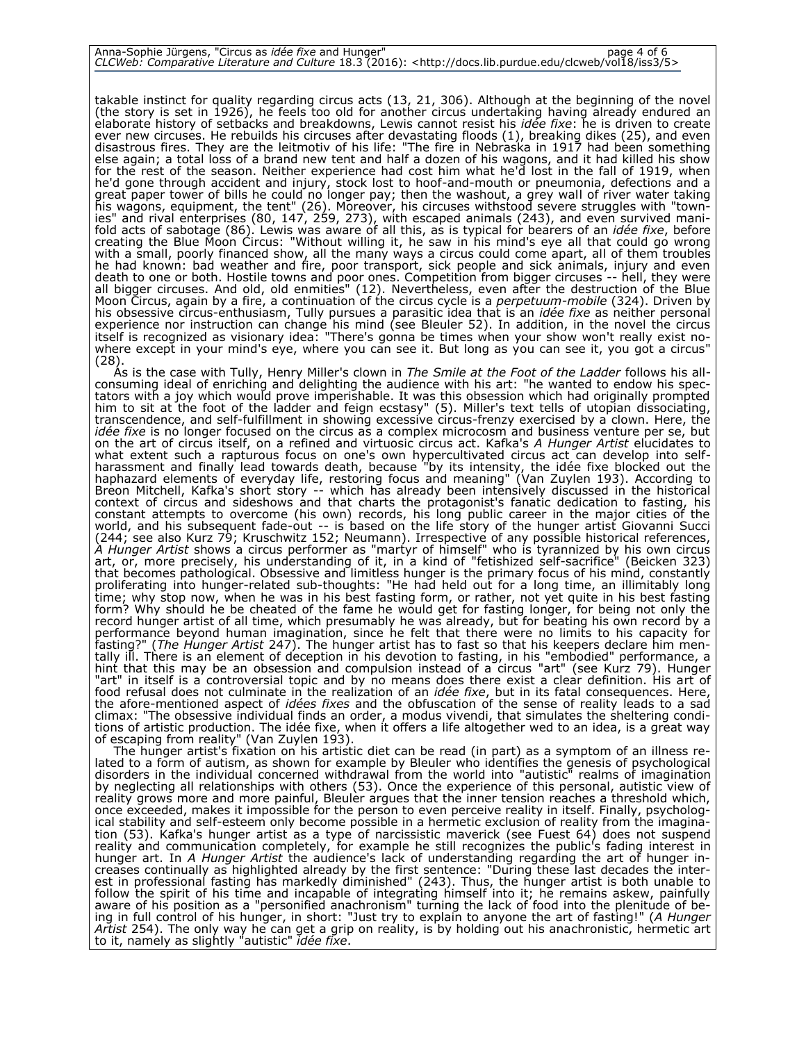| Anna-Sophie Jürgens, "Circus as <i>idée fixe</i> and Hunger" |                                                                                                                                | page 4 of 6 |
|--------------------------------------------------------------|--------------------------------------------------------------------------------------------------------------------------------|-------------|
|                                                              | CLCWeb: Comparative Literature and Culture 18.3 (2016): <http: 5="" clcweb="" docs.lib.purdue.edu="" iss3="" vol18=""></http:> |             |

takable instinct for quality regarding circus acts (13, 21, 306). Although at the beginning of the novel (the story is set in 1926), he feels too old for another circus undertaking having already endured an elaborate history of setbacks and breakdowns, Lewis cannot resist his *idée fixe*: he is driven to create ever new circuses. He rebuilds his circuses after devastating floods (1), breaking dikes (25), and even disastrous fires. They are the leitmotiv of his life: "The fire in Nebraska in 1917 had been something else again; a total loss of a brand new tent and half a dozen of his wagons, and it had killed his show for the rest of the season. Neither experience had cost him what he'd lost in the fall of 1919, when he'd gone through accident and injury, stock lost to hoof-and-mouth or pneumonia, defections and a great paper tower of bills he could no longer pay; then the washout, a grey wall of river water taking his wagons, equipment, the tent" (26). Moreover, his circuses withstood severe struggles with "townies" and rival enterprises (80, 147, 259, 273), with escaped animals (243), and even survived manifold acts of sabotage (86). Lewis was aware of all this, as is typical for bearers of an *idée fixe*, before creating the Blue Moon Circus: "Without willing it, he saw in his mind's eye all that could go wrong with a small, poorly financed show, all the many ways a circus could come apart, all of them troubles he had known: bad weather and fire, poor transport, sick people and sick animals, injury and even death to one or both. Hostile towns and poor ones. Competition from bigger circuses -- hell, they were all bigger circuses. And old, old enmities" (12). Nevertheless, even after the destruction of the Blue Moon Circus, again by a fire, a continuation of the circus cycle is a *perpetuum-mobile* (324). Driven by his obsessive circus-enthusiasm, Tully pursues a parasitic idea that is an *idée fixe* as neither personal experience nor instruction can change his mind (see Bleuler 52). In addition, in the novel the circus itself is recognized as visionary idea: "There's gonna be times when your show won't really exist nowhere except in your mind's eye, where you can see it. But long as you can see it, you got a circus"  $(28)$ 

As is the case with Tully, Henry Miller's clown in *The Smile at the Foot of the Ladder* follows his allconsuming ideal of enriching and delighting the audience with his art: "he wanted to endow his spectators with a joy which would prove imperishable. It was this obsession which had originally prompted him to sit at the foot of the ladder and feign ecstasy" (5). Miller's text tells of utopian dissociating, transcendence, and self-fulfillment in showing excessive circus-frenzy exercised by a clown. Here, the *idée fixe* is no longer focused on the circus as a complex microcosm and business venture per se, but on the art of circus itself, on a refined and virtuosic circus act. Kafka's *A Hunger Artist* elucidates to what extent such a rapturous focus on one's own hypercultivated circus act can develop into selfharassment and finally lead towards death, because "by its intensity, the idée fixe blocked out the haphazard elements of everyday life, restoring focus and meaning" (Van Zuylen 193). According to Breon Mitchell, Kafka's short story -- which has already been intensively discussed in the historical context of circus and sideshows and that charts the protagonist's fanatic dedication to fasting, his constant attempts to overcome (his own) records, his long public career in the major cities of the world, and his subsequent fade-out -- is based on the life story of the hunger artist Giovanni Succi (244; see also Kurz 79; Kruschwitz 152; Neumann). Irrespective of any possible historical references, *A Hunger Artist* shows a circus performer as "martyr of himself" who is tyrannized by his own circus art, or, more precisely, his understanding of it, in a kind of "fetishized self-sacrifice" (Beicken 323) that becomes pathological. Obsessive and limitless hunger is the primary focus of his mind, constantly proliferating into hunger-related sub-thoughts: "He had held out for a long time, an illimitably long time; why stop now, when he was in his best fasting form, or rather, not yet quite in his best fasting form? Why should he be cheated of the fame he would get for fasting longer, for being not only the record hunger artist of all time, which presumably he was already, but for beating his own record by a performance beyond human imagination, since he felt that there were no limits to his capacity for fasting?" (*The Hunger Artist* 247). The hunger artist has to fast so that his keepers declare him mentally ill. There is an element of deception in his devotion to fasting, in his "embodied" performance, a hint that this may be an obsession and compulsion instead of a circus "art" (see Kurz 79). Hunger "art" in itself is a controversial topic and by no means does there exist a clear definition. His art of food refusal does not culminate in the realization of an *idée fixe*, but in its fatal consequences. Here, the afore-mentioned aspect of *idées fixes* and the obfuscation of the sense of reality leads to a sad climax: "The obsessive individual finds an order, a modus vivendi, that simulates the sheltering conditions of artistic production. The idée fixe, when it offers a life altogether wed to an idea, is a great way of escaping from reality" (Van Zuylen 193).

The hunger artist's fixation on his artistic diet can be read (in part) as a symptom of an illness related to a form of autism, as shown for example by Bleuler who identifies the genesis of psychological disorders in the individual concerned withdrawal from the world into "autistic" realms of imagination by neglecting all relationships with others (53). Once the experience of this personal, autistic view of reality grows more and more painful, Bleuler argues that the inner tension reaches a threshold which, once exceeded, makes it impossible for the person to even perceive reality in itself. Finally, psychological stability and self-esteem only become possible in a hermetic exclusion of reality from the imagination (53). Kafka's hunger artist as a type of narcissistic maverick (see Fuest 64) does not suspend reality and communication completely, for example he still recognizes the public's fading interest in hunger art. In *A Hunger Artist* the audience's lack of understanding regarding the art of hunger increases continually as highlighted already by the first sentence: "During these last decades the interest in professional fasting has markedly diminished" (243). Thus, the hunger artist is both unable to follow the spirit of his time and incapable of integrating himself into it; he remains askew, painfully aware of his position as a "personified anachronism" turning the lack of food into the plenitude of being in full control of his hunger, in short: "Just try to explain to anyone the art of fasting!" (*A Hunger Artist* 254). The only way he can get a grip on reality, is by holding out his anachronistic, hermetic art to it, namely as slightly "autistic" *idée fixe*.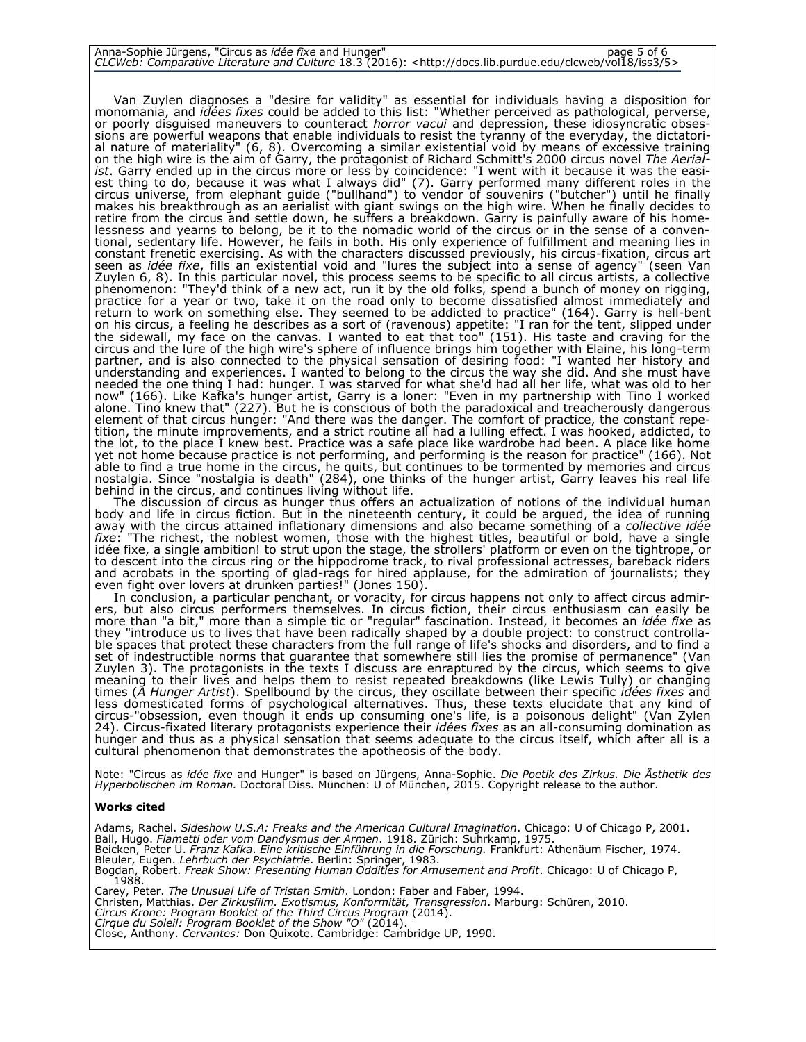| Anna-Sophie Jürgens, "Circus as <i>idée fixe</i> and Hunger" |                                                                                                                                | page 5 of 6 |
|--------------------------------------------------------------|--------------------------------------------------------------------------------------------------------------------------------|-------------|
|                                                              | CLCWeb: Comparative Literature and Culture 18.3 (2016): <http: 5="" clcweb="" docs.lib.purdue.edu="" iss3="" vol18=""></http:> |             |

Van Zuylen diagnoses a "desire for validity" as essential for individuals having a disposition for monomania, and *idées fixes* could be added to this list: "Whether perceived as pathological, perverse, or poorly disguised maneuvers to counteract *horror vacui* and depression, these idiosyncratic obsessions are powerful weapons that enable individuals to resist the tyranny of the everyday, the dictatorial nature of materiality" (6, 8). Overcoming a similar existential void by means of excessive training on the high wire is the aim of Garry, the protagonist of Richard Schmitt's 2000 circus novel *The Aerialist*. Garry ended up in the circus more or less by coincidence: "I went with it because it was the easiest thing to do, because it was what I always did" (7). Garry performed many different roles in the circus universe, from elephant guide ("bullhand") to vendor of souvenirs ("butcher") until he finally makes his breakthrough as an aerialist with giant swings on the high wire. When he finally decides to retire from the circus and settle down, he suffers a breakdown. Garry is painfully aware of his homelessness and yearns to belong, be it to the nomadic world of the circus or in the sense of a conventional, sedentary life. However, he fails in both. His only experience of fulfillment and meaning lies in constant frenetic exercising. As with the characters discussed previously, his circus-fixation, circus art seen as *idée fixe*, fills an existential void and "lures the subject into a sense of agency" (seen Van Zuylen 6, 8). In this particular novel, this process seems to be specific to all circus artists, a collective phenomenon: "They'd think of a new act, run it by the old folks, spend a bunch of money on rigging, practice for a year or two, take it on the road only to become dissatisfied almost immediately and return to work on something else. They seemed to be addicted to practice" (164). Garry is hell-bent on his circus, a feeling he describes as a sort of (ravenous) appetite: "I ran for the tent, slipped under the sidewall, my face on the canvas. I wanted to eat that too" (151). His taste and craving for the circus and the lure of the high wire's sphere of influence brings him together with Elaine, his long-term partner, and is also connected to the physical sensation of desiring food: "I wanted her history and understanding and experiences. I wanted to belong to the circus the way she did. And she must have needed the one thing I had: hunger. I was starved for what she'd had all her life, what was old to her now" (166). Like Kafka's hunger artist, Garry is a loner: "Even in my partnership with Tino I worked alone. Tino knew that" (227). But he is conscious of both the paradoxical and treacherously dangerous element of that circus hunger: "And there was the danger. The comfort of practice, the constant repetition, the minute improvements, and a strict routine all had a lulling effect. I was hooked, addicted, to the lot, to the place I knew best. Practice was a safe place like wardrobe had been. A place like home yet not home because practice is not performing, and performing is the reason for practice" (166). Not able to find a true home in the circus, he quits, but continues to be tormented by memories and circus nostalgia. Since "nostalgia is death" (284), one thinks of the hunger artist, Garry leaves his real life behind in the circus, and continues living without life.

The discussion of circus as hunger thus offers an actualization of notions of the individual human body and life in circus fiction. But in the nineteenth century, it could be argued, the idea of running away with the circus attained inflationary dimensions and also became something of a *collective idée fixe*: "The richest, the noblest women, those with the highest titles, beautiful or bold, have a single idée fixe, a single ambition! to strut upon the stage, the strollers' platform or even on the tightrope, or to descent into the circus ring or the hippodrome track, to rival professional actresses, bareback riders and acrobats in the sporting of glad-rags for hired applause, for the admiration of journalists; they even fight over lovers at drunken parties!" (Jones 150).

In conclusion, a particular penchant, or voracity, for circus happens not only to affect circus admirers, but also circus performers themselves. In circus fiction, their circus enthusiasm can easily be more than "a bit," more than a simple tic or "regular" fascination. Instead, it becomes an *idée fixe* as they "introduce us to lives that have been radically shaped by a double project: to construct controllable spaces that protect these characters from the full range of life's shocks and disorders, and to find a set of indestructible norms that guarantee that somewhere still lies the promise of permanence" (Van Zuylen 3). The protagonists in the texts I discuss are enraptured by the circus, which seems to give meaning to their lives and helps them to resist repeated breakdowns (like Lewis Tully) or changing times (*A Hunger Artist*). Spellbound by the circus, they oscillate between their specific *idées fixes* and less domesticated forms of psychological alternatives. Thus, these texts elucidate that any kind of circus-"obsession, even though it ends up consuming one's life, is a poisonous delight" (Van Zylen 24). Circus-fixated literary protagonists experience their *idées fixes* as an all-consuming domination as hunger and thus as a physical sensation that seems adequate to the circus itself, which after all is a cultural phenomenon that demonstrates the apotheosis of the body.

Note: "Circus as *idée fixe* and Hunger" is based on Jürgens, Anna-Sophie. *Die Poetik des Zirkus. Die Ästhetik des*<br>*Hyperbolischen im Roman.* Doctoral Diss. München: U of München, 2015. Copyright release to the author.

#### **Works cited**

Adams, Rachel. *Sideshow U.S.A: Freaks and the American Cultural Imagination*. Chicago: U of Chicago P, 2001. Ball, Hugo. *Flametti oder vom Dandysmus der Armen*. 1918. Zürich: Suhrkamp, 1975. Beicken, Peter U. *Franz Kafka*. *Eine kritische Einführung in die Forschung.* Frankfurt: Athenäum Fischer, 1974. Bleuler, Eugen. *Lehrbuch der Psychiatrie*. Berlin: Springer, 1983. Bogdan, Robert. *Freak Show: Presenting Human Oddities for Amusement and Profit*. Chicago: U of Chicago P, 1988. Carey, Peter. *The Unusual Life of Tristan Smith*. London: Faber and Faber, 1994. Christen, Matthias. *Der Zirkusfilm. Exotismus, Konformität, Transgression*. Marburg: Schüren, 2010. *Circus Krone: Program Booklet of the Third Circus Program* (2014). *Cirque du Soleil: Program Booklet of the Show "O"* (2014). Close, Anthony. *Cervantes:* Don Quixote. Cambridge: Cambridge UP, 1990.